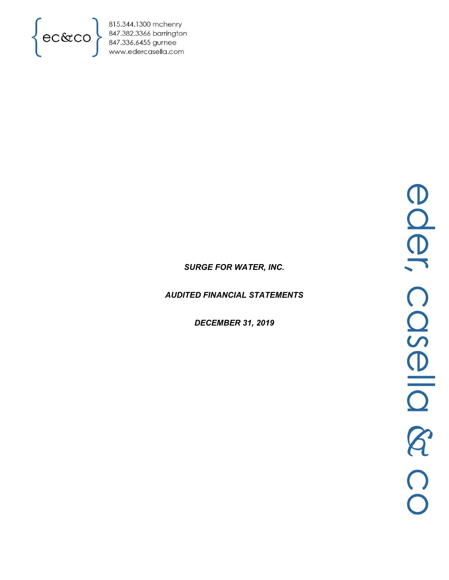

815.344.1300 mchenry 847.382.3366 barrington<br>847.336.6455 gurnee<br>www.edercasella.com

# SURGE FOR WATER, INC.

AUDITED FINANCIAL STATEMENTS

DECEMBER 31, 2019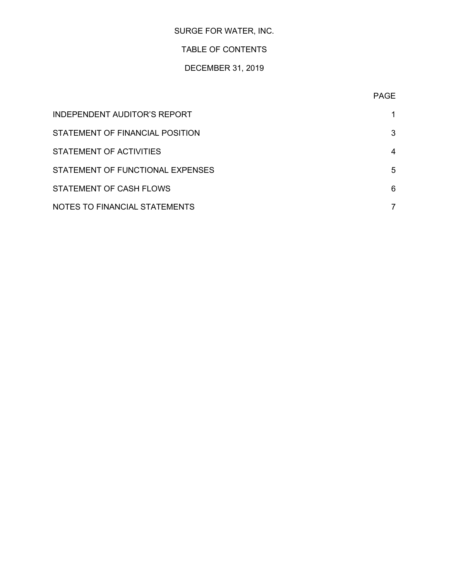# SURGE FOR WATER, INC.

# TABLE OF CONTENTS

# DECEMBER 31, 2019

| INDEPENDENT AUDITOR'S REPORT     |   |
|----------------------------------|---|
| STATEMENT OF FINANCIAL POSITION  | 3 |
| STATEMENT OF ACTIVITIES          | 4 |
| STATEMENT OF FUNCTIONAL EXPENSES | 5 |
| STATEMENT OF CASH FLOWS          | 6 |
| NOTES TO FINANCIAL STATEMENTS    |   |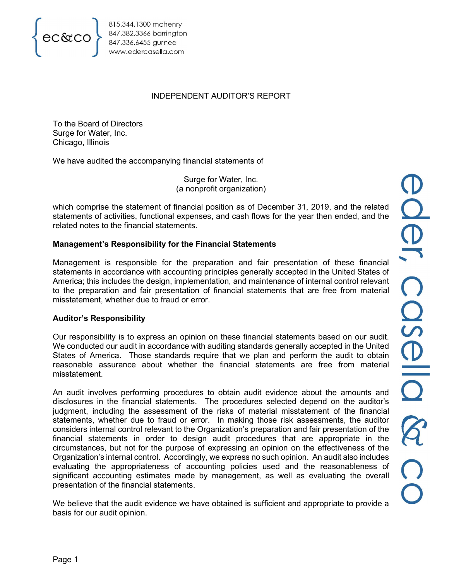

815.344.1300 mchenry 847.382.3366 barrington<br>847.382.3366 barrington<br>www.edercasella.com

# INDEPENDENT AUDITOR'S REPORT

To the Board of Directors Surge for Water, Inc. Chicago, Illinois

We have audited the accompanying financial statements of

Surge for Water, Inc. (a nonprofit organization)

which comprise the statement of financial position as of December 31, 2019, and the related statements of activities, functional expenses, and cash flows for the year then ended, and the related notes to the financial statements.

# Management's Responsibility for the Financial Statements

Management is responsible for the preparation and fair presentation of these financial statements in accordance with accounting principles generally accepted in the United States of America; this includes the design, implementation, and maintenance of internal control relevant to the preparation and fair presentation of financial statements that are free from material misstatement, whether due to fraud or error.

# Auditor's Responsibility

Our responsibility is to express an opinion on these financial statements based on our audit. We conducted our audit in accordance with auditing standards generally accepted in the United States of America. Those standards require that we plan and perform the audit to obtain reasonable assurance about whether the financial statements are free from material misstatement.

An audit involves performing procedures to obtain audit evidence about the amounts and disclosures in the financial statements. The procedures selected depend on the auditor's judgment, including the assessment of the risks of material misstatement of the financial statements, whether due to fraud or error. In making those risk assessments, the auditor considers internal control relevant to the Organization's preparation and fair presentation of the financial statements in order to design audit procedures that are appropriate in the circumstances, but not for the purpose of expressing an opinion on the effectiveness of the Organization's internal control. Accordingly, we express no such opinion. An audit also includes evaluating the appropriateness of accounting policies used and the reasonableness of significant accounting estimates made by management, as well as evaluating the overall presentation of the financial statements.

We believe that the audit evidence we have obtained is sufficient and appropriate to provide a basis for our audit opinion.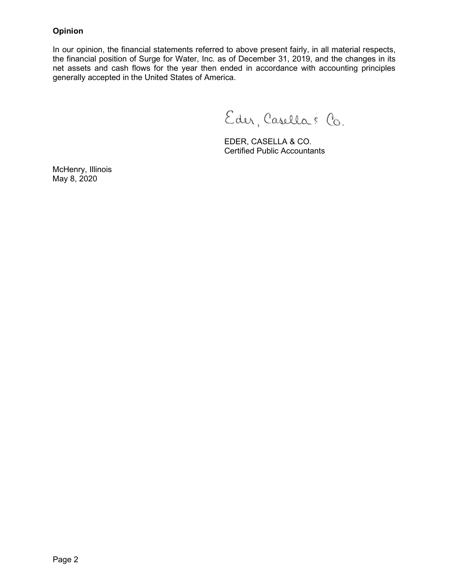# Opinion

In our opinion, the financial statements referred to above present fairly, in all material respects, the financial position of Surge for Water, Inc. as of December 31, 2019, and the changes in its net assets and cash flows for the year then ended in accordance with accounting principles generally accepted in the United States of America.

Eder, Casella & Co.

EDER, CASELLA & CO. Certified Public Accountants

McHenry, Illinois May 8, 2020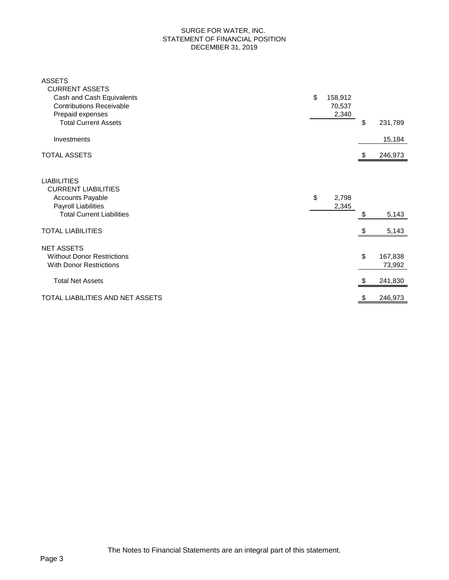#### SURGE FOR WATER, INC. STATEMENT OF FINANCIAL POSITION DECEMBER 31, 2019

| <b>ASSETS</b><br><b>CURRENT ASSETS</b>                  |               |               |
|---------------------------------------------------------|---------------|---------------|
| Cash and Cash Equivalents                               | \$<br>158,912 |               |
| <b>Contributions Receivable</b>                         | 70,537        |               |
| Prepaid expenses                                        | 2,340         |               |
| <b>Total Current Assets</b>                             |               | \$<br>231,789 |
| Investments                                             |               | 15,184        |
| <b>TOTAL ASSETS</b>                                     |               | 246,973       |
|                                                         |               |               |
| <b>LIABILITIES</b>                                      |               |               |
| <b>CURRENT LIABILITIES</b>                              |               |               |
| <b>Accounts Payable</b>                                 | \$<br>2,798   |               |
| Payroll Liabilities<br><b>Total Current Liabilities</b> | 2,345         | \$<br>5,143   |
|                                                         |               |               |
| <b>TOTAL LIABILITIES</b>                                |               | 5,143         |
| <b>NET ASSETS</b>                                       |               |               |
| <b>Without Donor Restrictions</b>                       |               | \$<br>167,838 |
| <b>With Donor Restrictions</b>                          |               | 73,992        |
| <b>Total Net Assets</b>                                 |               | 241,830       |
|                                                         |               |               |
| TOTAL LIABILITIES AND NET ASSETS                        |               | \$<br>246,973 |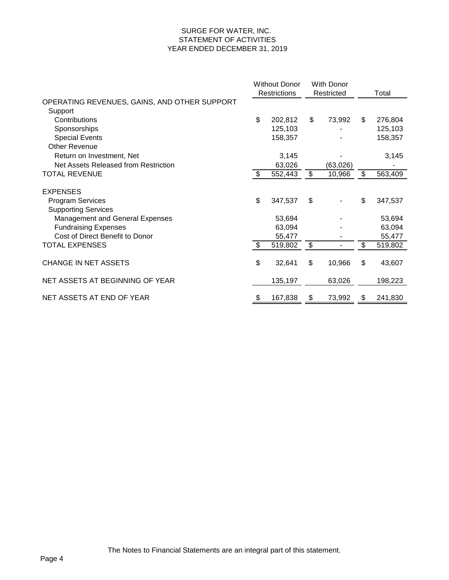#### SURGE FOR WATER, INC. STATEMENT OF ACTIVITIES YEAR ENDED DECEMBER 31, 2019

|                                                         | <b>Without Donor</b><br>Restrictions |               | <b>With Donor</b><br>Restricted | Total         |
|---------------------------------------------------------|--------------------------------------|---------------|---------------------------------|---------------|
| OPERATING REVENUES, GAINS, AND OTHER SUPPORT<br>Support |                                      |               |                                 |               |
| Contributions                                           | \$<br>202,812                        | \$            | 73,992                          | \$<br>276,804 |
| Sponsorships                                            | 125,103                              |               |                                 | 125,103       |
| <b>Special Events</b>                                   | 158,357                              |               |                                 | 158,357       |
| <b>Other Revenue</b>                                    |                                      |               |                                 |               |
| Return on Investment, Net                               | 3,145                                |               |                                 | 3,145         |
| Net Assets Released from Restriction                    | 63,026                               |               | (63,026)                        |               |
| <b>TOTAL REVENUE</b>                                    | \$<br>552,443                        | \$            | 10,966                          | \$<br>563,409 |
| <b>EXPENSES</b>                                         |                                      |               |                                 |               |
| <b>Program Services</b>                                 | \$<br>347,537                        | \$            |                                 | \$<br>347,537 |
| <b>Supporting Services</b>                              |                                      |               |                                 |               |
| <b>Management and General Expenses</b>                  | 53,694                               |               |                                 | 53,694        |
| <b>Fundraising Expenses</b>                             | 63,094                               |               |                                 | 63,094        |
| Cost of Direct Benefit to Donor                         | 55,477                               |               |                                 | 55,477        |
| <b>TOTAL EXPENSES</b>                                   | \$<br>519,802                        | $\frac{1}{2}$ |                                 | \$<br>519,802 |
| <b>CHANGE IN NET ASSETS</b>                             | \$<br>32,641                         | \$            | 10,966                          | \$<br>43,607  |
| NET ASSETS AT BEGINNING OF YEAR                         | 135,197                              |               | 63,026                          | 198,223       |
| NET ASSETS AT END OF YEAR                               | \$<br>167,838                        | \$            | 73,992                          | \$<br>241,830 |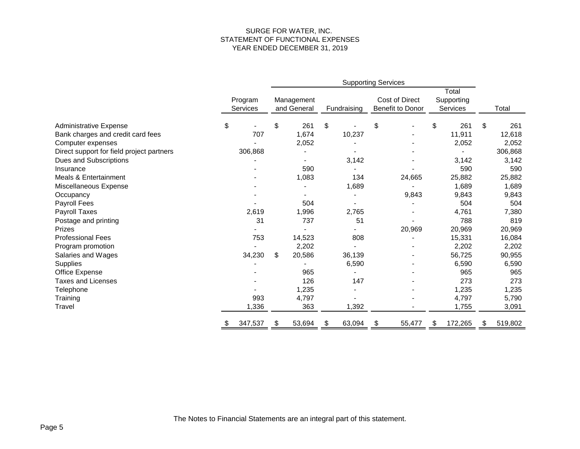#### SURGE FOR WATER, INC. STATEMENT OF FUNCTIONAL EXPENSES YEAR ENDED DECEMBER 31, 2019

|                                           |          |    |             | <b>Supporting Services</b> |                  |               |               |
|-------------------------------------------|----------|----|-------------|----------------------------|------------------|---------------|---------------|
|                                           |          |    |             |                            |                  | Total         |               |
|                                           | Program  |    | Management  |                            | Cost of Direct   | Supporting    |               |
|                                           | Services |    | and General | Fundraising                | Benefit to Donor | Services      | Total         |
| <b>Administrative Expense</b>             | \$       | \$ | 261         | \$                         | \$               | \$<br>261     | \$<br>261     |
| Bank charges and credit card fees         | 707      |    | 1,674       | 10,237                     |                  | 11,911        | 12,618        |
| Computer expenses                         |          |    | 2,052       |                            |                  | 2,052         | 2,052         |
| Direct support for field project partners | 306,868  |    |             |                            |                  |               | 306,868       |
| Dues and Subscriptions                    |          |    |             | 3,142                      |                  | 3,142         | 3,142         |
| Insurance                                 |          |    | 590         |                            |                  | 590           | 590           |
| Meals & Entertainment                     |          |    | 1,083       | 134                        | 24,665           | 25,882        | 25,882        |
| Miscellaneous Expense                     |          |    |             | 1,689                      |                  | 1,689         | 1,689         |
| Occupancy                                 |          |    |             |                            | 9,843            | 9,843         | 9,843         |
| Payroll Fees                              |          |    | 504         |                            |                  | 504           | 504           |
| Payroll Taxes                             | 2,619    |    | 1,996       | 2,765                      |                  | 4,761         | 7,380         |
| Postage and printing                      | 31       |    | 737         | 51                         |                  | 788           | 819           |
| Prizes                                    |          |    |             |                            | 20,969           | 20,969        | 20,969        |
| <b>Professional Fees</b>                  | 753      |    | 14,523      | 808                        |                  | 15,331        | 16,084        |
| Program promotion                         |          |    | 2,202       |                            |                  | 2,202         | 2,202         |
| Salaries and Wages                        | 34,230   | \$ | 20,586      | 36,139                     |                  | 56,725        | 90,955        |
| Supplies                                  |          |    |             | 6,590                      |                  | 6,590         | 6,590         |
| Office Expense                            |          |    | 965         |                            |                  | 965           | 965           |
| <b>Taxes and Licenses</b>                 |          |    | 126         | 147                        |                  | 273           | 273           |
| Telephone                                 |          |    | 1,235       |                            |                  | 1,235         | 1,235         |
| Training                                  | 993      |    | 4,797       |                            |                  | 4,797         | 5,790         |
| Travel                                    | 1,336    |    | 363         | 1,392                      |                  | 1,755         | 3,091         |
|                                           | 347,537  | S. | 53,694      | \$<br>63,094               | \$<br>55,477     | \$<br>172,265 | \$<br>519,802 |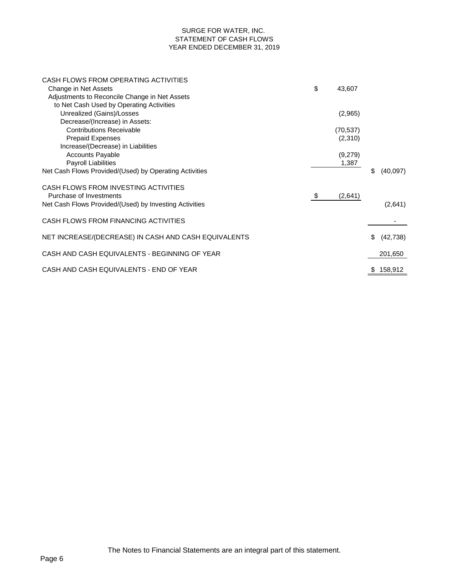#### SURGE FOR WATER, INC. STATEMENT OF CASH FLOWS YEAR ENDED DECEMBER 31, 2019

| CASH FLOWS FROM OPERATING ACTIVITIES                            |               |                 |
|-----------------------------------------------------------------|---------------|-----------------|
| Change in Net Assets                                            | \$<br>43,607  |                 |
| Adjustments to Reconcile Change in Net Assets                   |               |                 |
| to Net Cash Used by Operating Activities                        |               |                 |
| Unrealized (Gains)/Losses                                       | (2,965)       |                 |
| Decrease/(Increase) in Assets:                                  |               |                 |
| <b>Contributions Receivable</b>                                 | (70, 537)     |                 |
| <b>Prepaid Expenses</b>                                         | (2,310)       |                 |
| Increase/(Decrease) in Liabilities                              |               |                 |
| <b>Accounts Payable</b>                                         | (9,279)       |                 |
| <b>Payroll Liabilities</b>                                      | 1,387         |                 |
| Net Cash Flows Provided/(Used) by Operating Activities          |               | \$<br>(40,097)  |
| CASH FLOWS FROM INVESTING ACTIVITIES<br>Purchase of Investments | \$<br>(2,641) |                 |
| Net Cash Flows Provided/(Used) by Investing Activities          |               | (2,641)         |
| CASH FLOWS FROM FINANCING ACTIVITIES                            |               |                 |
| NET INCREASE/(DECREASE) IN CASH AND CASH EQUIVALENTS            |               | \$<br>(42, 738) |
| CASH AND CASH EQUIVALENTS - BEGINNING OF YEAR                   |               | 201,650         |
| CASH AND CASH EQUIVALENTS - END OF YEAR                         |               | \$<br>158,912   |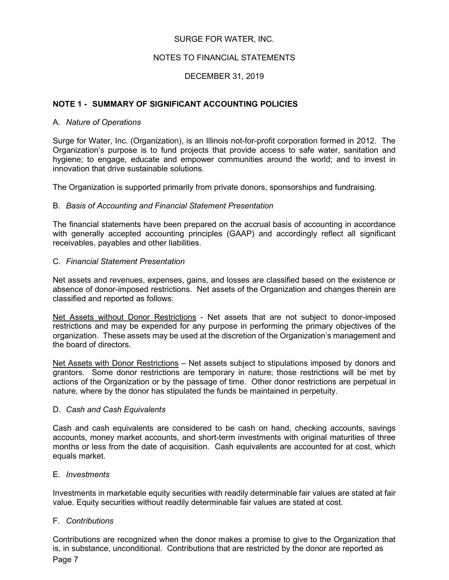# SURGE FOR WATER, INC.

# NOTES TO FINANCIAL STATEMENTS

### DECEMBER 31, 2019

### NOTE 1 - SUMMARY OF SIGNIFICANT ACCOUNTING POLICIES

#### A. Nature of Operations

Surge for Water, Inc. (Organization), is an Illinois not-for-profit corporation formed in 2012. The Organization's purpose is to fund projects that provide access to safe water, sanitation and hygiene; to engage, educate and empower communities around the world; and to invest in innovation that drive sustainable solutions.

The Organization is supported primarily from private donors, sponsorships and fundraising.

#### B. Basis of Accounting and Financial Statement Presentation

The financial statements have been prepared on the accrual basis of accounting in accordance with generally accepted accounting principles (GAAP) and accordingly reflect all significant receivables, payables and other liabilities.

#### C. Financial Statement Presentation

Net assets and revenues, expenses, gains, and losses are classified based on the existence or absence of donor-imposed restrictions. Net assets of the Organization and changes therein are classified and reported as follows:

Net Assets without Donor Restrictions - Net assets that are not subject to donor-imposed restrictions and may be expended for any purpose in performing the primary objectives of the organization. These assets may be used at the discretion of the Organization's management and the board of directors.

Net Assets with Donor Restrictions – Net assets subject to stipulations imposed by donors and grantors. Some donor restrictions are temporary in nature; those restrictions will be met by actions of the Organization or by the passage of time. Other donor restrictions are perpetual in nature, where by the donor has stipulated the funds be maintained in perpetuity.

#### D. Cash and Cash Equivalents

Cash and cash equivalents are considered to be cash on hand, checking accounts, savings accounts, money market accounts, and short-term investments with original maturities of three months or less from the date of acquisition. Cash equivalents are accounted for at cost, which equals market.

#### E. Investments

Investments in marketable equity securities with readily determinable fair values are stated at fair value. Equity securities without readily determinable fair values are stated at cost.

#### F. Contributions

Page 7 Contributions are recognized when the donor makes a promise to give to the Organization that is, in substance, unconditional. Contributions that are restricted by the donor are reported as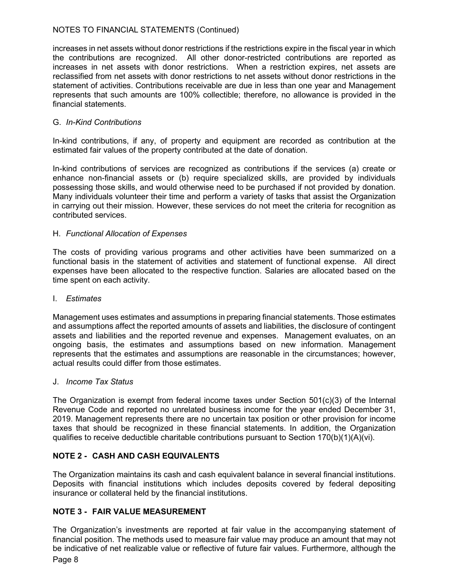# NOTES TO FINANCIAL STATEMENTS (Continued)

increases in net assets without donor restrictions if the restrictions expire in the fiscal year in which the contributions are recognized. All other donor-restricted contributions are reported as increases in net assets with donor restrictions. When a restriction expires, net assets are reclassified from net assets with donor restrictions to net assets without donor restrictions in the statement of activities. Contributions receivable are due in less than one year and Management represents that such amounts are 100% collectible; therefore, no allowance is provided in the financial statements.

# G. In-Kind Contributions

In-kind contributions, if any, of property and equipment are recorded as contribution at the estimated fair values of the property contributed at the date of donation.

In-kind contributions of services are recognized as contributions if the services (a) create or enhance non-financial assets or (b) require specialized skills, are provided by individuals possessing those skills, and would otherwise need to be purchased if not provided by donation. Many individuals volunteer their time and perform a variety of tasks that assist the Organization in carrying out their mission. However, these services do not meet the criteria for recognition as contributed services.

# H. Functional Allocation of Expenses

The costs of providing various programs and other activities have been summarized on a functional basis in the statement of activities and statement of functional expense. All direct expenses have been allocated to the respective function. Salaries are allocated based on the time spent on each activity.

# I. Estimates

Management uses estimates and assumptions in preparing financial statements. Those estimates and assumptions affect the reported amounts of assets and liabilities, the disclosure of contingent assets and liabilities and the reported revenue and expenses. Management evaluates, on an ongoing basis, the estimates and assumptions based on new information. Management represents that the estimates and assumptions are reasonable in the circumstances; however, actual results could differ from those estimates.

#### J. Income Tax Status

The Organization is exempt from federal income taxes under Section  $501(c)(3)$  of the Internal Revenue Code and reported no unrelated business income for the year ended December 31, 2019. Management represents there are no uncertain tax position or other provision for income taxes that should be recognized in these financial statements. In addition, the Organization qualifies to receive deductible charitable contributions pursuant to Section 170(b)(1)(A)(vi).

# NOTE 2 - CASH AND CASH EQUIVALENTS

The Organization maintains its cash and cash equivalent balance in several financial institutions. Deposits with financial institutions which includes deposits covered by federal depositing insurance or collateral held by the financial institutions.

# NOTE 3 - FAIR VALUE MEASUREMENT

The Organization's investments are reported at fair value in the accompanying statement of financial position. The methods used to measure fair value may produce an amount that may not be indicative of net realizable value or reflective of future fair values. Furthermore, although the

Page 8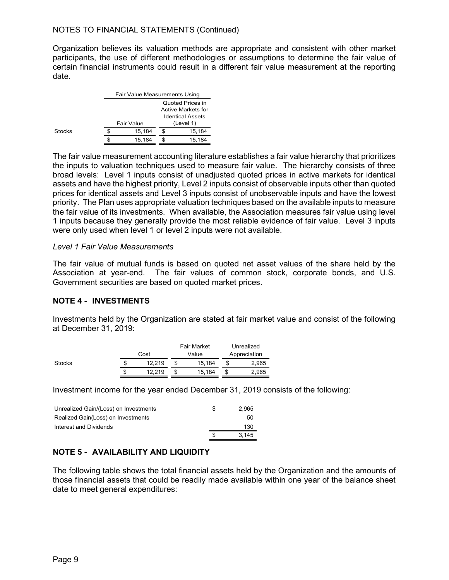### NOTES TO FINANCIAL STATEMENTS (Continued)

Organization believes its valuation methods are appropriate and consistent with other market participants, the use of different methodologies or assumptions to determine the fair value of certain financial instruments could result in a different fair value measurement at the reporting date. NOTES TO FINANCIAL STATEMENTS (Continued)<br>
Organization believes its valuation methods are appropriate and consistent with other no<br>
contricipants, the use of different methodologies or assumptions to determine the fair v

|               | Fair Value Measurements Using |                                                                                |
|---------------|-------------------------------|--------------------------------------------------------------------------------|
|               | Fair Value                    | Quoted Prices in<br>Active Markets for<br><b>Identical Assets</b><br>(Level 1) |
| <b>Stocks</b> | \$<br>15,184                  | \$<br>15,184                                                                   |
|               | \$<br>15,184                  | \$<br>15,184                                                                   |

The fair value measurement accounting literature establishes a fair value hierarchy that prioritizes the inputs to valuation techniques used to measure fair value. The hierarchy consists of three broad levels: Level 1 inputs consist of unadjusted quoted prices in active markets for identical assets and have the highest priority, Level 2 inputs consist of observable inputs other than quoted prices for identical assets and Level 3 inputs consist of unobservable inputs and have the lowest priority. The Plan uses appropriate valuation techniques based on the available inputs to measure the fair value of its investments. When available, the Association measures fair value using level 1 inputs because they generally provide the most reliable evidence of fair value. Level 3 inputs were only used when level 1 or level 2 inputs were not available. thing literature establishes a fair value hierarchy that prioritizes<br>used to measure fair value. The hierarchy consists of three<br>to d unadjusted quoted prices in active markets for identical<br>Level 2 inputs consist of obser echniques used to measure fair value. The hierarchy consists of three puts consist of unadjusted quoted prices in active markets for identical<br>pest proridy, Level 2 inputs consist of observable inputs other than quoted<br>is broad levels: Level 1 inputs consist of unadjusted quoted prices in active markets for identical<br>sases and have the highest priority. Level 2 inputs consist of observable inputs and have the louded<br>orices for identical as

#### Level 1 Fair Value Measurements

The fair value of mutual funds is based on quoted net asset values of the share held by the Association at year-end. The fair values of common stock, corporate bonds, and U.S. Government securities are based on quoted market prices. If inputs because they generally provide the most reliable evidence of fair value. Level 3 inputs<br>
Level 1 Fair Value Measurements<br>
Level 1 Fair Value Measurements<br>
Level 1 Fair Value Measurements<br>
The fair values of comm were only used when level 1 or level 2 inputs were not available.<br>Level 1 Fair Value Measurements<br>The fair value of mutual funds is based on quoted net asset values of the share held by the<br>Societion at year-end. The fair Level 1 Fair Value Measurements<br>
IThe fair value of mutual funds is based on quoted net asset values of the share held by the<br>
Association at year-end. The fair values of common stock, corporate bonds, and U.S.<br>
Sovernmen

# NOTE 4 - INVESTMENTS

Investments held by the Organization are stated at fair market value and consist of the following at December 31, 2019:

|               |        | <b>Fair Market</b> |        | Unrealized   |
|---------------|--------|--------------------|--------|--------------|
|               | Cost   | Value              |        | Appreciation |
| <b>Stocks</b> | 12.219 | 15.184             | ۰D     | 2,965        |
|               | 12.219 | \$<br>15,184       | ¢<br>จ | 2,965        |

Investment income for the year ended December 31, 2019 consists of the following:

| Unrealized Gain/(Loss) on Investments | S | 2.965 |
|---------------------------------------|---|-------|
| Realized Gain(Loss) on Investments    |   | 50    |
| Interest and Dividends                |   | 130   |
|                                       |   | 3.145 |

# NOTE 5 - AVAILABILITY AND LIQUIDITY

The following table shows the total financial assets held by the Organization and the amounts of those financial assets that could be readily made available within one year of the balance sheet date to meet general expenditures: